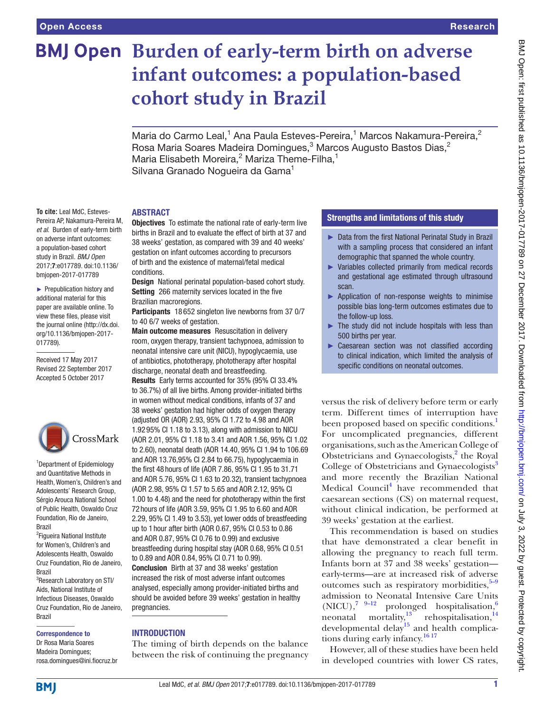**To cite:** Leal MdC, Esteves-Pereira AP, Nakamura-Pereira M, *et al*. Burden of early-term birth on adverse infant outcomes: a population-based cohort study in Brazil. *BMJ Open* 2017;7:e017789. doi:10.1136/ bmjopen-2017-017789 ► Prepublication history and additional material for this paper are available online. To view these files, please visit the journal online [\(http://dx.doi.](http://dx.doi.org/10.1136/bmjopen-2017-017789) [org/10.1136/bmjopen-2017-](http://dx.doi.org/10.1136/bmjopen-2017-017789)

# **BMJ Open Burden of early-term birth on adverse infant outcomes: a population-based cohort study in Brazil**

Maria do Carmo Leal,<sup>1</sup> Ana Paula Esteves-Pereira,<sup>1</sup> Marcos Nakamura-Pereira,<sup>2</sup> Rosa Maria Soares Madeira Domingues, $^3$  Marcos Augusto Bastos Dias, $^2$ Maria Elisabeth Moreira,<sup>2</sup> Mariza Theme-Filha,<sup>1</sup> Silvana Granado Nogueira da Gama<sup>1</sup>

#### **ABSTRACT**

Objectives To estimate the national rate of early-term live births in Brazil and to evaluate the effect of birth at 37 and 38 weeks' gestation, as compared with 39 and 40 weeks' gestation on infant outcomes according to precursors of birth and the existence of maternal/fetal medical conditions.

Design National perinatal population-based cohort study. Setting 266 maternity services located in the five Brazilian macroregions.

Participants 18 652 singleton live newborns from 37 0/7 to 40 6/7 weeks of gestation.

Main outcome measures Resuscitation in delivery room, oxygen therapy, transient tachypnoea, admission to neonatal intensive care unit (NICU), hypoglycaemia, use of antibiotics, phototherapy, phototherapy after hospital discharge, neonatal death and breastfeeding.

Results Early terms accounted for 35% (95% CI 33.4% to 36.7%) of all live births. Among provider-initiated births in women without medical conditions, infants of 37 and 38 weeks' gestation had higher odds of oxygen therapy (adjusted OR (AOR) 2.93, 95% CI 1.72 to 4.98 and AOR 1.9295% CI 1.18 to 3.13), along with admission to NICU (AOR 2.01, 95% CI 1.18 to 3.41 and AOR 1.56, 95% CI 1.02 to 2.60), neonatal death (AOR 14.40, 95% CI 1.94 to 106.69 and AOR 13.76,95% CI 2.84 to 66.75), hypoglycaemia in the first 48hours of life (AOR 7.86, 95% CI 1.95 to 31.71 and AOR 5.76, 95% CI 1.63 to 20.32), transient tachypnoea (AOR 2.98, 95% CI 1.57 to 5.65 and AOR 2.12, 95% CI 1.00 to 4.48) and the need for phototherapy within the first 72hours of life (AOR 3.59, 95% CI 1.95 to 6.60 and AOR 2.29, 95% CI 1.49 to 3.53), yet lower odds of breastfeeding up to 1hour after birth (AOR 0.67, 95% CI 0.53 to 0.86 and AOR 0.87, 95% CI 0.76 to 0.99) and exclusive breastfeeding during hospital stay (AOR 0.68, 95% CI 0.51 to 0.89 and AOR 0.84, 95% CI 0.71 to 0.99).

Conclusion Birth at 37 and 38 weeks' gestation increased the risk of most adverse infant outcomes analysed, especially among provider-initiated births and should be avoided before 39 weeks' gestation in healthy pregnancies.

## **INTRODUCTION**

The timing of birth depends on the balance between the risk of continuing the pregnancy

## Strengths and limitations of this study

- ► Data from the first National Perinatal Study in Brazil with a sampling process that considered an infant demographic that spanned the whole country.
- ► Variables collected primarily from medical records and gestational age estimated through ultrasound scan.
- ► Application of non-response weights to minimise possible bias long-term outcomes estimates due to the follow-up loss.
- ► The study did not include hospitals with less than 500 births per year.
- Caesarean section was not classified according to clinical indication, which limited the analysis of specific conditions on neonatal outcomes.

versus the risk of delivery before term or early term. Different times of interruption have been proposed based on specific conditions.<sup>1</sup> For uncomplicated pregnancies, different organisations, such as the American College of Obstetricians and Gynaecologists,<sup>[2](#page-10-1)</sup> the Royal College of Obstetricians and Gynaecologists<sup>[3](#page-10-2)</sup> and more recently the Brazilian National Medical Council<sup>[4](#page-10-3)</sup> have recommended that caesarean sections (CS) on maternal request, without clinical indication, be performed at 39 weeks' gestation at the earliest.

This recommendation is based on studies that have demonstrated a clear benefit in allowing the pregnancy to reach full term. Infants born at 37 and 38 weeks' gestation early-terms—are at increased risk of adverse outcomes such as respiratory morbidities, $5-9$ admission to Neonatal Intensive Care Units<br>(NICU)  $^{7}$   $^{9-12}$  prolonged hospitalisation  $^{6}$  $(NICU)$ ,<sup>7</sup> <sup>9–12</sup> prolonged hospitalisation,<sup>6</sup> neonatal mortality, $13^{\circ}$  rehospitalisation,  $14$ developmental delay<sup>[15](#page-10-9)</sup> and health complications during early infancy.[16 17](#page-10-10)

However, all of these studies have been held in developed countries with lower CS rates,

# CrossMark <sup>1</sup>Department of Epidemiology

[017789\)](http://dx.doi.org/10.1136/bmjopen-2017-017789).

Received 17 May 2017 Revised 22 September 2017 Accepted 5 October 2017

and Quantitative Methods in Health, Women's, Children's and Adolescents' Research Group, Sérgio Arouca National School of Public Health, Oswaldo Cruz Foundation, Rio de Janeiro, Brazil

<sup>2</sup>Figueira National Institute for Women's, Children's and Adolescents Health, Oswaldo Cruz Foundation, Rio de Janeiro, Brazil

3 Research Laboratory on STI/ Aids, National Institute of Infectious Diseases, Oswaldo Cruz Foundation, Rio de Janeiro, Brazil

#### Correspondence to

Dr Rosa Maria Soares Madeira Domingues; rosa.domingues@ini.fiocruz.br

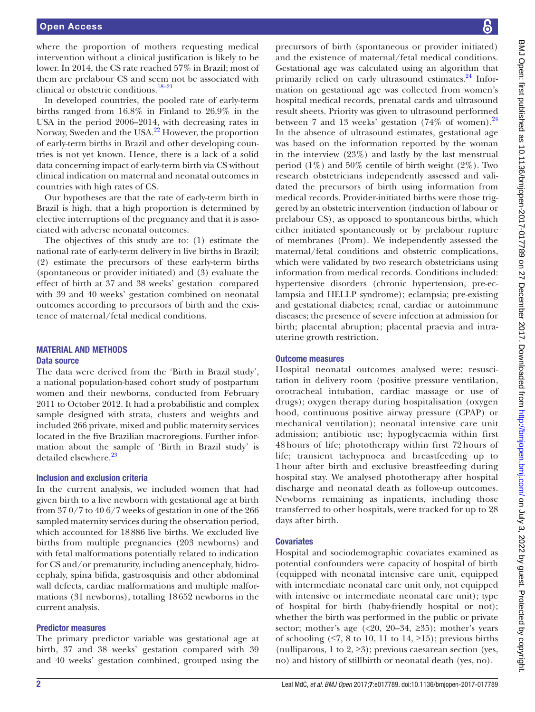where the proportion of mothers requesting medical intervention without a clinical justification is likely to be lower. In 2014, the CS rate reached 57% in Brazil; most of them are prelabour CS and seem not be associated with clinical or obstetric conditions[.18–21](#page-10-11)

In developed countries, the pooled rate of early-term births ranged from 16.8% in Finland to 26.9% in the USA in the period 2006–2014, with decreasing rates in Norway, Sweden and the USA[.22](#page-10-12) However, the proportion of early-term births in Brazil and other developing countries is not yet known. Hence, there is a lack of a solid data concerning impact of early-term birth via CS without clinical indication on maternal and neonatal outcomes in countries with high rates of CS.

Our hypotheses are that the rate of early-term birth in Brazil is high, that a high proportion is determined by elective interruptions of the pregnancy and that it is associated with adverse neonatal outcomes.

The objectives of this study are to: (1) estimate the national rate of early-term delivery in live births in Brazil; (2) estimate the precursors of these early-term births (spontaneous or provider initiated) and (3) evaluate the effect of birth at 37 and 38 weeks' gestation compared with 39 and 40 weeks' gestation combined on neonatal outcomes according to precursors of birth and the existence of maternal/fetal medical conditions.

#### Material and methods Data source

The data were derived from the 'Birth in Brazil study', a national population-based cohort study of postpartum women and their newborns, conducted from February 2011 to October 2012. It had a probabilistic and complex sample designed with strata, clusters and weights and included 266 private, mixed and public maternity services located in the five Brazilian macroregions. Further information about the sample of 'Birth in Brazil study' is detailed elsewhere.<sup>[23](#page-10-13)</sup>

## Inclusion and exclusion criteria

In the current analysis, we included women that had given birth to a live newborn with gestational age at birth from 37 0/7 to 40 6/7 weeks of gestation in one of the 266 sampled maternity services during the observation period, which accounted for 18886 live births. We excluded live births from multiple pregnancies (203 newborns) and with fetal malformations potentially related to indication for CS and/or prematurity, including anencephaly, hidrocephaly, spina bifida, gastrosquisis and other abdominal wall defects, cardiac malformations and multiple malformations (31 newborns), totalling 18652 newborns in the current analysis.

#### Predictor measures

The primary predictor variable was gestational age at birth, 37 and 38 weeks' gestation compared with 39 and 40 weeks' gestation combined, grouped using the

precursors of birth (spontaneous or provider initiated) and the existence of maternal/fetal medical conditions. Gestational age was calculated using an algorithm that primarily relied on early ultrasound estimates.<sup>[24](#page-10-14)</sup> Information on gestational age was collected from women's hospital medical records, prenatal cards and ultrasound result sheets. Priority was given to ultrasound performed between 7 and 13 weeks' gestation  $(74\% \text{ of women}).^{24}$  $(74\% \text{ of women}).^{24}$  $(74\% \text{ of women}).^{24}$ In the absence of ultrasound estimates, gestational age was based on the information reported by the woman in the interview (23%) and lastly by the last menstrual period  $(1\%)$  and 50% centile of birth weight  $(2\%)$ . Two research obstetricians independently assessed and validated the precursors of birth using information from medical records. Provider-initiated births were those triggered by an obstetric intervention (induction of labour or prelabour CS), as opposed to spontaneous births, which either initiated spontaneously or by prelabour rupture of membranes (Prom). We independently assessed the maternal/fetal conditions and obstetric complications, which were validated by two research obstetricians using information from medical records. Conditions included: hypertensive disorders (chronic hypertension, pre-eclampsia and HELLP syndrome); eclampsia; pre-existing and gestational diabetes; renal, cardiac or autoimmune diseases; the presence of severe infection at admission for birth; placental abruption; placental praevia and intrauterine growth restriction.

## Outcome measures

Hospital neonatal outcomes analysed were: resuscitation in delivery room (positive pressure ventilation, orotracheal intubation, cardiac massage or use of drugs); oxygen therapy during hospitalisation (oxygen hood, continuous positive airway pressure (CPAP) or mechanical ventilation); neonatal intensive care unit admission; antibiotic use; hypoglycaemia within first 48 hours of life; phototherapy within first 72 hours of life; transient tachypnoea and breastfeeding up to 1 hour after birth and exclusive breastfeeding during hospital stay. We analysed phototherapy after hospital discharge and neonatal death as follow-up outcomes. Newborns remaining as inpatients, including those transferred to other hospitals, were tracked for up to 28 days after birth.

## **Covariates**

Hospital and sociodemographic covariates examined as potential confounders were capacity of hospital of birth (equipped with neonatal intensive care unit, equipped with intermediate neonatal care unit only, not equipped with intensive or intermediate neonatal care unit); type of hospital for birth (baby-friendly hospital or not); whether the birth was performed in the public or private sector; mother's age  $(\leq 20, 20-34, \geq 35)$ ; mother's years of schooling ( $\leq 7$ , 8 to 10, 11 to 14,  $\geq 15$ ); previous births (nulliparous, 1 to 2,  $\geq$ 3); previous caesarean section (yes, no) and history of stillbirth or neonatal death (yes, no).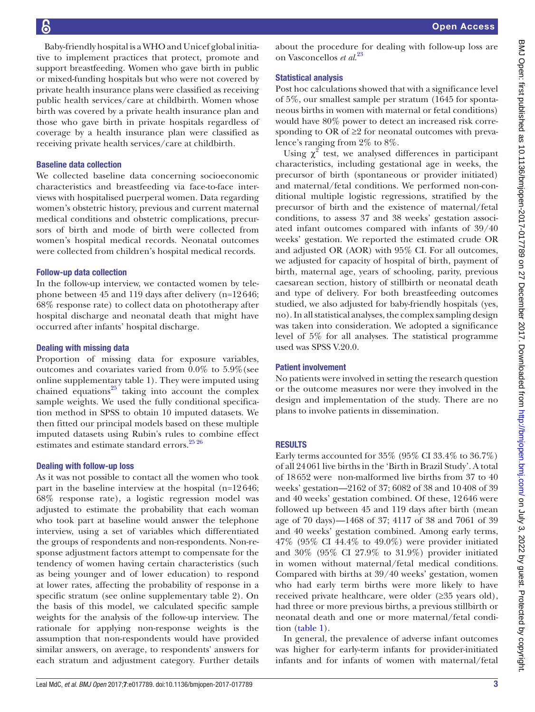Baby-friendly hospital is a WHO and Unicef global initiative to implement practices that protect, promote and support breastfeeding. Women who gave birth in public or mixed-funding hospitals but who were not covered by private health insurance plans were classified as receiving public health services/care at childbirth. Women whose birth was covered by a private health insurance plan and those who gave birth in private hospitals regardless of coverage by a health insurance plan were classified as receiving private health services/care at childbirth.

## Baseline data collection

We collected baseline data concerning socioeconomic characteristics and breastfeeding via face-to-face interviews with hospitalised puerperal women. Data regarding women's obstetric history, previous and current maternal medical conditions and obstetric complications, precursors of birth and mode of birth were collected from women's hospital medical records. Neonatal outcomes were collected from children's hospital medical records.

#### Follow-up data collection

In the follow-up interview, we contacted women by telephone between 45 and 119 days after delivery (n=12646; 68% response rate) to collect data on phototherapy after hospital discharge and neonatal death that might have occurred after infants' hospital discharge.

#### Dealing with missing data

Proportion of missing data for exposure variables, outcomes and covariates varied from 0.0% to 5.9%(see online [supplementary table 1](https://dx.doi.org/10.1136/bmjopen-2017-017789)). They were imputed using chained equations $25$  taking into account the complex sample weights. We used the fully conditional specification method in SPSS to obtain 10 imputed datasets. We then fitted our principal models based on these multiple imputed datasets using Rubin's rules to combine effect estimates and estimate standard errors.<sup>25 26</sup>

## Dealing with follow-up loss

As it was not possible to contact all the women who took part in the baseline interview at the hospital (n=12646; 68% response rate), a logistic regression model was adjusted to estimate the probability that each woman who took part at baseline would answer the telephone interview, using a set of variables which differentiated the groups of respondents and non-respondents. Non-response adjustment factors attempt to compensate for the tendency of women having certain characteristics (such as being younger and of lower education) to respond at lower rates, affecting the probability of response in a specific stratum (see online [supplementary table 2\)](https://dx.doi.org/10.1136/bmjopen-2017-017789). On the basis of this model, we calculated specific sample weights for the analysis of the follow-up interview. The rationale for applying non-response weights is the assumption that non-respondents would have provided similar answers, on average, to respondents' answers for each stratum and adjustment category. Further details

about the procedure for dealing with follow-up loss are on Vasconcellos *et al*. [23](#page-10-13)

# Statistical analysis

Post hoc calculations showed that with a significance level of 5%, our smallest sample per stratum (1645 for spontaneous births in women with maternal or fetal conditions) would have 80% power to detect an increased risk corresponding to OR of  $\geq$ ? for neonatal outcomes with prevalence's ranging from 2% to 8%.

Using  $\chi^2$  test, we analysed differences in participant characteristics, including gestational age in weeks, the precursor of birth (spontaneous or provider initiated) and maternal/fetal conditions. We performed non-conditional multiple logistic regressions, stratified by the precursor of birth and the existence of maternal/fetal conditions, to assess 37 and 38 weeks' gestation associated infant outcomes compared with infants of 39/40 weeks' gestation. We reported the estimated crude OR and adjusted OR (AOR) with 95% CI. For all outcomes, we adjusted for capacity of hospital of birth, payment of birth, maternal age, years of schooling, parity, previous caesarean section, history of stillbirth or neonatal death and type of delivery. For both breastfeeding outcomes studied, we also adjusted for baby-friendly hospitals (yes, no). In all statistical analyses, the complex sampling design was taken into consideration. We adopted a significance level of 5% for all analyses. The statistical programme used was SPSS V.20.0.

## Patient involvement

No patients were involved in setting the research question or the outcome measures nor were they involved in the design and implementation of the study. There are no plans to involve patients in dissemination.

# **RESULTS**

Early terms accounted for 35% (95% CI 33.4% to 36.7%) of all 24061 live births in the 'Birth in Brazil Study'. A total of 18652 were non-malformed live births from 37 to 40 weeks' gestation—2162 of 37; 6082 of 38 and 10408 of 39 and 40 weeks' gestation combined. Of these, 12646 were followed up between 45 and 119 days after birth (mean age of 70 days)—1468 of 37; 4117 of 38 and 7061 of 39 and 40 weeks' gestation combined. Among early terms, 47% (95% CI 44.4% to 49.0%) were provider initiated and 30% (95% CI 27.9% to 31.9%) provider initiated in women without maternal/fetal medical conditions. Compared with births at 39/40 weeks' gestation, women who had early term births were more likely to have received private healthcare, were older (≥35 years old), had three or more previous births, a previous stillbirth or neonatal death and one or more maternal/fetal condition [\(table](#page-3-0) 1).

In general, the prevalence of adverse infant outcomes was higher for early-term infants for provider-initiated infants and for infants of women with maternal/fetal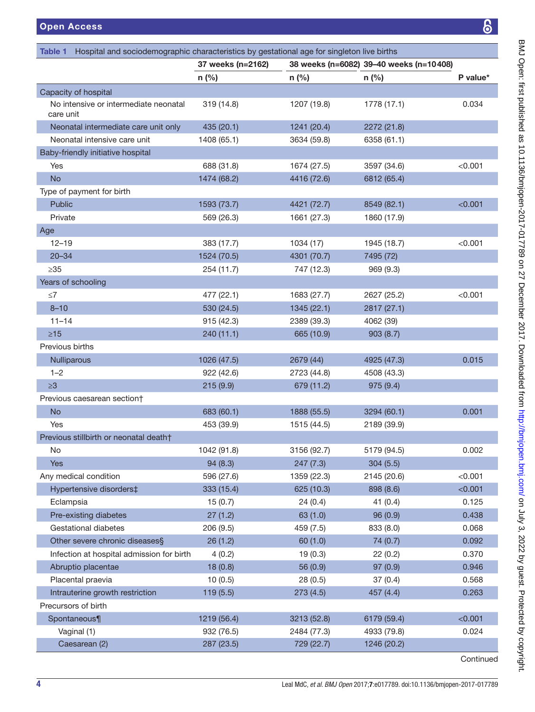<span id="page-3-0"></span>

| Hospital and sociodemographic characteristics by gestational age for singleton live births<br>Table 1 |                   |             |                                         |           |
|-------------------------------------------------------------------------------------------------------|-------------------|-------------|-----------------------------------------|-----------|
|                                                                                                       | 37 weeks (n=2162) |             | 38 weeks (n=6082) 39-40 weeks (n=10408) |           |
|                                                                                                       | $n$ (%)           | $n$ (%)     | $n$ (%)                                 | P value*  |
| Capacity of hospital                                                                                  |                   |             |                                         |           |
| No intensive or intermediate neonatal<br>care unit                                                    | 319 (14.8)        | 1207 (19.8) | 1778 (17.1)                             | 0.034     |
| Neonatal intermediate care unit only                                                                  | 435 (20.1)        | 1241 (20.4) | 2272 (21.8)                             |           |
| Neonatal intensive care unit                                                                          | 1408 (65.1)       | 3634 (59.8) | 6358 (61.1)                             |           |
| Baby-friendly initiative hospital                                                                     |                   |             |                                         |           |
| Yes                                                                                                   | 688 (31.8)        | 1674 (27.5) | 3597 (34.6)                             | < 0.001   |
| <b>No</b>                                                                                             | 1474 (68.2)       | 4416 (72.6) | 6812 (65.4)                             |           |
| Type of payment for birth                                                                             |                   |             |                                         |           |
| Public                                                                                                | 1593 (73.7)       | 4421 (72.7) | 8549 (82.1)                             | < 0.001   |
| Private                                                                                               | 569 (26.3)        | 1661 (27.3) | 1860 (17.9)                             |           |
| Age                                                                                                   |                   |             |                                         |           |
| $12 - 19$                                                                                             | 383 (17.7)        | 1034 (17)   | 1945 (18.7)                             | < 0.001   |
| $20 - 34$                                                                                             | 1524 (70.5)       | 4301 (70.7) | 7495 (72)                               |           |
| $\geq 35$                                                                                             | 254 (11.7)        | 747 (12.3)  | 969(9.3)                                |           |
| Years of schooling                                                                                    |                   |             |                                         |           |
| $\leq 7$                                                                                              | 477 (22.1)        | 1683 (27.7) | 2627 (25.2)                             | < 0.001   |
| $8 - 10$                                                                                              | 530 (24.5)        | 1345 (22.1) | 2817 (27.1)                             |           |
| $11 - 14$                                                                                             | 915(42.3)         | 2389 (39.3) | 4062 (39)                               |           |
| $\geq 15$                                                                                             | 240 (11.1)        | 665 (10.9)  | 903(8.7)                                |           |
| Previous births                                                                                       |                   |             |                                         |           |
| Nulliparous                                                                                           | 1026 (47.5)       | 2679 (44)   | 4925 (47.3)                             | 0.015     |
| $1 - 2$                                                                                               | 922 (42.6)        | 2723 (44.8) | 4508 (43.3)                             |           |
| $\geq 3$                                                                                              | 215(9.9)          | 679 (11.2)  | 975 (9.4)                               |           |
| Previous caesarean section†                                                                           |                   |             |                                         |           |
| <b>No</b>                                                                                             | 683 (60.1)        | 1888 (55.5) | 3294 (60.1)                             | 0.001     |
| Yes                                                                                                   | 453 (39.9)        | 1515 (44.5) | 2189 (39.9)                             |           |
| Previous stillbirth or neonatal death†                                                                |                   |             |                                         |           |
| No                                                                                                    | 1042 (91.8)       | 3156 (92.7) | 5179 (94.5)                             | 0.002     |
| <b>Yes</b>                                                                                            | 94 (8.3)          | 247 (7.3)   | 304(5.5)                                |           |
| Any medical condition                                                                                 | 596 (27.6)        | 1359 (22.3) | 2145 (20.6)                             | < 0.001   |
| Hypertensive disorders‡                                                                               | 333 (15.4)        | 625 (10.3)  | 898 (8.6)                               | < 0.001   |
| Eclampsia                                                                                             | 15(0.7)           | 24(0.4)     | 41(0.4)                                 | 0.125     |
| Pre-existing diabetes                                                                                 | 27(1.2)           | 63(1.0)     | 96(0.9)                                 | 0.438     |
| Gestational diabetes                                                                                  | 206(9.5)          | 459 (7.5)   | 833 (8.0)                               | 0.068     |
| Other severe chronic diseases§                                                                        | 26(1.2)           | 60(1.0)     | 74 (0.7)                                | 0.092     |
| Infection at hospital admission for birth                                                             | 4(0.2)            | 19(0.3)     | 22(0.2)                                 | 0.370     |
| Abruptio placentae                                                                                    | 18(0.8)           | 56 (0.9)    | 97 (0.9)                                | 0.946     |
| Placental praevia                                                                                     | 10(0.5)           | 28(0.5)     | 37(0.4)                                 | 0.568     |
| Intrauterine growth restriction                                                                       | 119(5.5)          | 273 (4.5)   | 457 (4.4)                               | 0.263     |
| Precursors of birth                                                                                   |                   |             |                                         |           |
| Spontaneous¶                                                                                          | 1219 (56.4)       | 3213 (52.8) | 6179 (59.4)                             | < 0.001   |
| Vaginal (1)                                                                                           | 932 (76.5)        | 2484 (77.3) | 4933 (79.8)                             | 0.024     |
| Caesarean (2)                                                                                         | 287 (23.5)        | 729 (22.7)  | 1246 (20.2)                             |           |
|                                                                                                       |                   |             |                                         | Continued |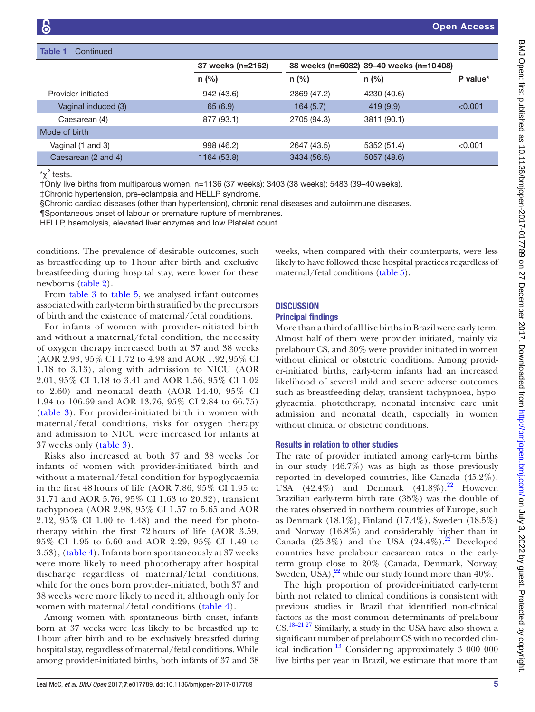#### Table 1 Continued

|                     | 37 weeks (n=2162) |             | 38 weeks (n=6082) 39-40 weeks (n=10408) |          |
|---------------------|-------------------|-------------|-----------------------------------------|----------|
|                     | $n$ (%)           | $n$ (%)     | $n$ (%)                                 | P value* |
| Provider initiated  | 942 (43.6)        | 2869 (47.2) | 4230 (40.6)                             |          |
| Vaginal induced (3) | 65(6.9)           | 164(5.7)    | 419 (9.9)                               | < 0.001  |
| Caesarean (4)       | 877 (93.1)        | 2705 (94.3) | 3811 (90.1)                             |          |
| Mode of birth       |                   |             |                                         |          |
| Vaginal (1 and 3)   | 998 (46.2)        | 2647 (43.5) | 5352 (51.4)                             | < 0.001  |
| Caesarean (2 and 4) | 1164 (53.8)       | 3434 (56.5) | 5057 (48.6)                             |          |

 $\chi^2$  tests.

†Only live births from multiparous women. n=1136 (37 weeks); 3403 (38 weeks); 5483 (39–40weeks).

‡Chronic hypertension, pre-eclampsia and HELLP syndrome.

§Chronic cardiac diseases (other than hypertension), chronic renal diseases and autoimmune diseases.

¶Spontaneous onset of labour or premature rupture of membranes.

HELLP, haemolysis, elevated liver enzymes and low Platelet count.

conditions. The prevalence of desirable outcomes, such as breastfeeding up to 1hour after birth and exclusive breastfeeding during hospital stay, were lower for these newborns ([table](#page-5-0) 2).

From [table](#page-6-0) 3 to [table](#page-8-0) 5, we analysed infant outcomes associated with early-term birth stratified by the precursors of birth and the existence of maternal/fetal conditions.

For infants of women with provider-initiated birth and without a maternal/fetal condition, the necessity of oxygen therapy increased both at 37 and 38 weeks (AOR 2.93, 95% CI 1.72 to 4.98 and AOR 1.92, 95% CI 1.18 to 3.13), along with admission to NICU (AOR 2.01, 95% CI 1.18 to 3.41 and AOR 1.56, 95% CI 1.02 to 2.60) and neonatal death (AOR 14.40, 95% CI 1.94 to 106.69 and AOR 13.76, 95% CI 2.84 to 66.75) ([table](#page-6-0) 3). For provider-initiated birth in women with maternal/fetal conditions, risks for oxygen therapy and admission to NICU were increased for infants at 37 weeks only ([table](#page-6-0) 3).

Risks also increased at both 37 and 38 weeks for infants of women with provider-initiated birth and without a maternal/fetal condition for hypoglycaemia in the first 48 hours of life (AOR 7.86, 95% CI 1.95 to 31.71 and AOR 5.76, 95% CI 1.63 to 20.32), transient tachypnoea (AOR 2.98, 95% CI 1.57 to 5.65 and AOR 2.12, 95% CI 1.00 to 4.48) and the need for phototherapy within the first 72 hours of life (AOR 3.59, 95% CI 1.95 to 6.60 and AOR 2.29, 95% CI 1.49 to 3.53), ([table](#page-7-0) 4). Infants born spontaneously at 37 weeks were more likely to need phototherapy after hospital discharge regardless of maternal/fetal conditions, while for the ones born provider-initiated, both 37 and 38 weeks were more likely to need it, although only for women with maternal/fetal conditions ([table](#page-7-0) 4).

Among women with spontaneous birth onset, infants born at 37 weeks were less likely to be breastfed up to 1hour after birth and to be exclusively breastfed during hospital stay, regardless of maternal/fetal conditions. While among provider-initiated births, both infants of 37 and 38

weeks, when compared with their counterparts, were less likely to have followed these hospital practices regardless of maternal/fetal conditions [\(table](#page-8-0) 5).

#### **DISCUSSION**

#### Principal findings

More than a third of all live births in Brazil were early term. Almost half of them were provider initiated, mainly via prelabour CS, and 30% were provider initiated in women without clinical or obstetric conditions. Among provider-initiated births, early-term infants had an increased likelihood of several mild and severe adverse outcomes such as breastfeeding delay, transient tachypnoea, hypoglycaemia, phototherapy, neonatal intensive care unit admission and neonatal death, especially in women without clinical or obstetric conditions.

#### Results in relation to other studies

The rate of provider initiated among early-term births in our study (46.7%) was as high as those previously reported in developed countries, like Canada (45.2%), USA  $(42.4\%)$  and Denmark  $(41.8\%)$ .<sup>22</sup> However, Brazilian early-term birth rate (35%) was the double of the rates observed in northern countries of Europe, such as Denmark (18.1%), Finland (17.4%), Sweden (18.5%) and Norway (16.8%) and considerably higher than in Canada (25.3%) and the USA (24.4%).<sup>22</sup> Developed countries have prelabour caesarean rates in the earlyterm group close to 20% (Canada, Denmark, Norway, Sweden, USA), $^{22}$  while our study found more than 40%.

The high proportion of provider-initiated early-term birth not related to clinical conditions is consistent with previous studies in Brazil that identified non-clinical factors as the most common determinants of prelabour CS[.18–21 27](#page-10-11) Similarly, a study in the USA have also shown a significant number of prelabour CS with no recorded clinical indication[.13](#page-10-7) Considering approximately 3 000 000 live births per year in Brazil, we estimate that more than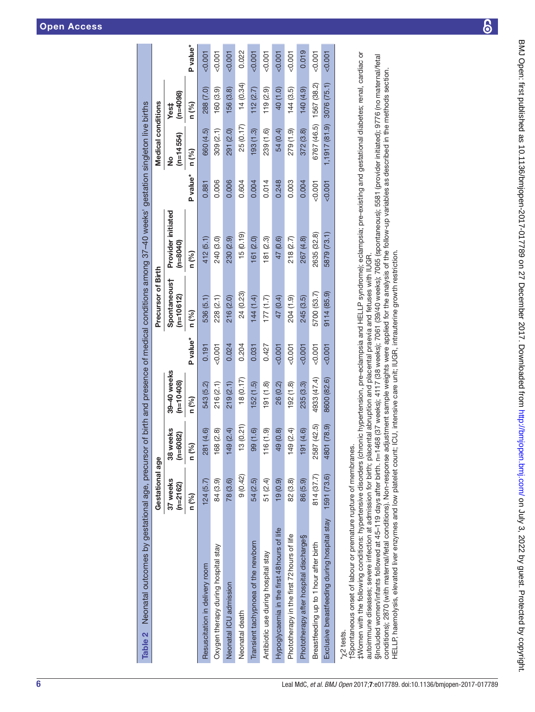|                                                                                      | Gestational age      |                         |                            |          | Precursor of Birth        |                                  |          | <b>Medical conditions</b> |                    |          |
|--------------------------------------------------------------------------------------|----------------------|-------------------------|----------------------------|----------|---------------------------|----------------------------------|----------|---------------------------|--------------------|----------|
|                                                                                      | 37 weeks<br>(n=2162) | 38 weeks<br>(n=6082)    | 39-40 weeks<br>$(n=10408)$ |          | Spontaneous†<br>(n=10612) | Provider initiated<br>$(n=8040)$ |          | $(n=14554)$<br>ž          | $(n=4098)$<br>Yest |          |
|                                                                                      | n (%)                | n (%)                   | n (%)                      | P value* | n (%)                     | n (%)                            | P value* | n (%)                     | n (%)              | P value* |
| Resuscitation in delivery room                                                       | 124(5.7)             | (4.6)<br>281            | 543 (5.2)                  | 0.191    | 536 (5.1)                 | 412 (5.1)                        | 0.881    | 660 (4.5)                 | 288 (7.0)          | 0.001    |
| Oxygen therapy during hospital stay                                                  | 84 (3.9)             | (2.8)<br>168            | 216 (2.1)                  | $-0.001$ | 228 (2.1)                 | 240 (3.0)                        | 0.006    | 309 (2.1)                 | 160(3.9)           | $-0.001$ |
| Neonatal ICU admission                                                               | 78 (3.6)             | (2.4)<br>149            | 219(2.1)                   | 0.024    | 216 (2.0)                 | 230 (2.9)                        | 0.006    | 291 (2.0)                 | 156 (3.8)          | 0.001    |
| Neonatal death                                                                       | 9(0.42)              | (0.21)<br>$\frac{3}{2}$ | 18 (0.17)                  | 0.204    | 24 (0.23)                 | 15(0.19)                         | 0.604    | 25 (0.17)                 | 14(0.34)           | 0.022    |
| Transient tachypnoea of the newborn                                                  | 54 (2.5)             | (1.6)<br>99             | 152(1.5)                   | 0.031    | 144(1.4)                  | 161(2.0)                         | 0.004    | 193(1.3)                  | 112(2.7)           | 0.007    |
| Antibiotic use during hospital stay                                                  | 51 (2.4)             | (1.9)<br>116            | 191(1.8)                   | 0.427    | (77(1.7))                 | 181(2.3)                         | 0.014    | 239 (1.6)                 | 119(2.9)           | $-0.001$ |
| Hypoglycaemia in the first 48 hours of life                                          | (0.9)                | (0.8)<br>$\frac{1}{2}$  | 26 (0.2)                   | $-0.001$ | 47 (0.4)                  | 47 (0.6)                         | 0.248    | 54 (0.4)                  | 40 (1.0)           | 500.007  |
| Phototherapy in the first 72 hours of life                                           | 82 (3.8)             | (2.4)<br>149            | 192(1.8)                   | $-0.001$ | 204 (1.9)                 | 218 (2.7)                        | 0.003    | 279 (1.9)                 | 144(3.5)           | $-0.001$ |
| Phototherapy after hospital discharge§                                               | 86 (5.9)             | (4.6)<br>191            | 235 (3.3)                  | $-0.001$ | 245 (3.5)                 | 267 (4.8)                        | 0.004    | 372 (3.8)                 | (6.40)             | 0.019    |
| Breastfeeding up to 1 hour after birth                                               | 814 (37.7)           | (42.5)<br>2587          | 4933 (47.4)                | $-0.001$ | 5700 (53.7)               | 2635 (32.8)                      | 0.001    | 6767 (46.5)               | 1567 (38.2)        | $-0.001$ |
| Exclusive breastfeeding during hospital stay                                         | 1591 (73.6)          | (78.9)<br>4801          | 8600 (82.6)                | $-0.001$ | 9114 (85.9)               | 5879 (73.1)                      | < 0.001  | 1,1917 (81.9)             | 3076 (75.1)        | $-0.001$ |
| tSpontaneous onset of labour or premature rupture of membranes.<br>$\gamma$ 2 tests. |                      |                         |                            |          |                           |                                  |          |                           |                    |          |

<span id="page-5-0"></span>Table 2 Neonatal outcomes by gestational age, precursor of birth and presence of medical conditions among 37–40 weeks' gestation singleton live births

Table 2 Neonatal outcomes by gestational age, precursor of birth and presence of medical conditions among 37-40 weeks' gestation singleton live births

tWomen with the following conditions: hypertensive disorders (chronic hypertension, pre-eclampsia and HELLP syndrome); eclampsia; pre-existing and gestational diabetes; renal, cardiac or ‡Women with the following conditions: hypertensive disorders (chronic hypertension, pre-eclampsia and HELLP syndrome); eclampsia; pre-existing and gestational diabetes; renal, cardiac or autoimmune diseases; severe infection at admission for birth; placental abruption and placental praevia and fetuses with IUGR. autoimmune diseases; severe infection at admission for birth; placental abruption and placental praevia and fetuses with IUGR.

Sincluded women/infants followed at 45–119 days after birth. n=1468 (37 weeks); 4117 (38 weeks); 7061 (39/40 weeks); 7065 (spontaneous); 5581 (provider initiated); 9776 (no maternal/fetal §Included women/infants followed at 45–119 days after birth. n=1468 (37 weeks); 4117 (38 weeks); 7061 (39/40 weeks); 7065 (spontaneous); 5581 (provider initiated); 9776 (no maternal/fetal conditions); 2870 (with maternal/fetal conditions). Non-response adjustment sample weights were applied for the analysis of the follow-up variables as described in the methods section. conditions); 2870 (with maternal/fetal conditions). Non-response adjustment sample weights were applied for the analysis of the follow-up variables as described in the methods section. HELLP, haemolysis, elevated liver enzymes and low platelet count; ICU, intensive care unit; IUGR, intrauterine growth restriction. HELLP, haemolysis, elevated liver enzymes and low platelet count; ICU, intensive care unit; IUGR, intrauterine growth restriction.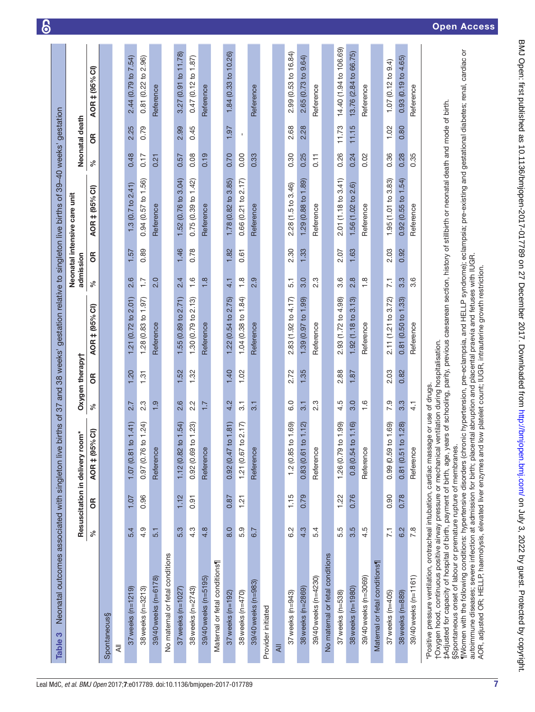|                                                                                                                                                                                                                                                                                                                                                                                                                                                              |                  |      | Resuscitation in delivery room* |                  | Oxygen therapy† |                                                            | admission                          |      | Neonatal intensive care unit |      | Neonatal death |                              |
|--------------------------------------------------------------------------------------------------------------------------------------------------------------------------------------------------------------------------------------------------------------------------------------------------------------------------------------------------------------------------------------------------------------------------------------------------------------|------------------|------|---------------------------------|------------------|-----------------|------------------------------------------------------------|------------------------------------|------|------------------------------|------|----------------|------------------------------|
|                                                                                                                                                                                                                                                                                                                                                                                                                                                              | ಸಿ               | క    | AOR ‡ (95% CI)                  | $\%$             | бR              | AOR ‡ (95% CI)                                             | $\%$                               | ЭŘ   | AOR ‡ (95% CI)               | $\%$ | ទ              | AOR ‡ (95% CI)               |
| Spontaneous§                                                                                                                                                                                                                                                                                                                                                                                                                                                 |                  |      |                                 |                  |                 |                                                            |                                    |      |                              |      |                |                              |
| $\overline{\overline{z}}$                                                                                                                                                                                                                                                                                                                                                                                                                                    |                  |      |                                 |                  |                 |                                                            |                                    |      |                              |      |                |                              |
| $37$ weeks (n= $1219$ )                                                                                                                                                                                                                                                                                                                                                                                                                                      | 5.4              | 1.07 | 1.07(0.81 to 1.41)              | 2.7              | <b>20</b>       | $(0.72 \text{ to } 2.01)$<br>1.21                          | $\circ$<br>$\overline{\mathsf{N}}$ | 1.57 | $1.3(0.7)$ to $2.41$ )       | 0.48 | 2.25           | 2.44 (0.79 to 7.54)          |
| 38 weeks (n=3213)                                                                                                                                                                                                                                                                                                                                                                                                                                            | 4.9              | 0.96 | $0.97$ (0.76 to 1.24)           | 2.3              | 1.31            | 1.28 $(0.83$ to 1.97)                                      | $\overline{.}$                     | 0.89 | 0.94(0.57 to 1.56)           | 0.17 | 0.79           | 0.81 (0.22 to 2.96)          |
| 39/40 weeks (n=6178)                                                                                                                                                                                                                                                                                                                                                                                                                                         | 5.1              |      | Reference                       | 1.9              |                 | Reference                                                  | 2.0                                |      | Reference                    | 0.21 |                | Reference                    |
| No maternal or fetal conditions                                                                                                                                                                                                                                                                                                                                                                                                                              |                  |      |                                 |                  |                 |                                                            |                                    |      |                              |      |                |                              |
| 37 weeks (n=1027)                                                                                                                                                                                                                                                                                                                                                                                                                                            | 5.3              | 1.12 | 1.12 (0.82 to 1.54)             | 2.6              | 1.52            | 1.55(0.89 to 2.71)                                         | 2.4                                | 1.46 | 1.52(0.76 to 3.04)           | 0.57 | 2.99           | 3.27 (0.91 to 11.78)         |
| 38 weeks (n=2743)                                                                                                                                                                                                                                                                                                                                                                                                                                            | 4.3              | 0.91 | 0.92(0.69 to 1.23)              | 2.2              | 1.32            | 2.13<br>1.30 (0.79 to                                      | 1.6                                | 0.78 | 0.75(0.39 to 1.42)           | 0.08 | 0.45           | 0.47(0.12 to 1.87)           |
| 39/40 weeks (n=5195)                                                                                                                                                                                                                                                                                                                                                                                                                                         | $4.\overline{8}$ |      | Reference                       | 7.7              |                 | Reference                                                  | $\frac{8}{1}$                      |      | Reference                    | 0.19 |                | Reference                    |
| Maternal or fetal conditions                                                                                                                                                                                                                                                                                                                                                                                                                                 |                  |      |                                 |                  |                 |                                                            |                                    |      |                              |      |                |                              |
| 37 weeks (n=192)                                                                                                                                                                                                                                                                                                                                                                                                                                             | 8.0              | 0.87 | 0.92(0.47 to 1.81)              | 4.2              | 1.40            | 1.22 (0.54 to 2.75)                                        | 4.1                                | 1.82 | 1.78 (0.82 to 3.85)          | 0.70 | 1.97           | 1.84 (0.33 to 10.26)         |
| 38 weeks $(n=470)$                                                                                                                                                                                                                                                                                                                                                                                                                                           | 5.9              | 1.21 | 2.17<br>1.21 (0.67 to           | 3.1              | 1.02            | 1.04 (0.38 to 1.84)                                        | 1.8                                | 0.61 | 0.66(0.21 to 2.17)           | 0.00 | $\mathbf I$    |                              |
| 39/40 weeks (n=983)                                                                                                                                                                                                                                                                                                                                                                                                                                          | 6.7              |      | Reference                       | $\overline{3}$ . |                 | Reference                                                  | 2.9                                |      | Reference                    | 0.33 |                | Reference                    |
| Provider initiated                                                                                                                                                                                                                                                                                                                                                                                                                                           |                  |      |                                 |                  |                 |                                                            |                                    |      |                              |      |                |                              |
| $\overline{a}$                                                                                                                                                                                                                                                                                                                                                                                                                                               |                  |      |                                 |                  |                 |                                                            |                                    |      |                              |      |                |                              |
| 37 weeks (n=943)                                                                                                                                                                                                                                                                                                                                                                                                                                             | 6.2              | 1.15 | 1.2 (0.85 to 1.69)              | 6.0              | 2.72            | 2.83 (1.92 to 4.17)                                        | 5.1                                | 2.30 | 2.28 (1.5 to 3.46)           | 0.30 | 2.68           | 2.99 (0.53 to 16.84)         |
| 38 weeks (n=2869)                                                                                                                                                                                                                                                                                                                                                                                                                                            | 4.3              | 0.79 | 0.83(0.61 to 1.12)              | 3.1              | 1.35            | 1.39 (0.97 to 1.99)                                        | 3.0                                | 1.33 | 1.29 (0.88 to 1.89)          | 0.25 | 2.28           | 2.65 (0.73 to 9.64)          |
| 39/40 weeks (n=4230)                                                                                                                                                                                                                                                                                                                                                                                                                                         | 5.4              |      | Reference                       | 2.3              |                 | Reference                                                  | 2.3                                |      | Reference                    | 0.11 |                | Reference                    |
| No maternal or fetal conditions                                                                                                                                                                                                                                                                                                                                                                                                                              |                  |      |                                 |                  |                 |                                                            |                                    |      |                              |      |                |                              |
| $37$ weeks ( $n=538$ )                                                                                                                                                                                                                                                                                                                                                                                                                                       | 5.5              | 1.22 | 1.26 (0.79 to 1.99)             | 4.5              | 2.88            | 2.93 (1.72 to 4.98)                                        | 3.6                                | 2.07 | 2.01 (1.18 to 3.41)          | 0.26 | 11.73          | 14.40 (1.94 to 106.69)       |
| 38 weeks (n=1980)                                                                                                                                                                                                                                                                                                                                                                                                                                            | 3.5              | 0.76 | $0.8(0.54 \text{ to } 1.16)$    | 3.0              | 1.87            | 1.92(1.18 to 3.13)                                         | 2.8                                | 1.63 | 1.56 (1.02 to 2.6)           | 0.24 | 11.15          | 13.76 (2.84 to 66.75)        |
| 39/40 weeks (n=3069)                                                                                                                                                                                                                                                                                                                                                                                                                                         | 4.5              |      | Reference                       | 1.6              |                 | Reference                                                  | $\frac{8}{1}$                      |      | Reference                    | 0.02 |                | Reference                    |
| Maternal or fetal conditions                                                                                                                                                                                                                                                                                                                                                                                                                                 |                  |      |                                 |                  |                 |                                                            |                                    |      |                              |      |                |                              |
| $37$ weeks ( $n=405$ )                                                                                                                                                                                                                                                                                                                                                                                                                                       | $\overline{7.1}$ | 0.90 | 0.99(0.59 to 1.69)              | 7.9              | 2.03            | 2.11 (1.21 to 3.72)                                        | $\overline{71}$                    | 2.03 | 1.95 (1.01 to 3.83)          | 0.36 | 1.02           | $1.07(0.12 \text{ to } 9.4)$ |
| 38 weeks (n=889)                                                                                                                                                                                                                                                                                                                                                                                                                                             | 6.2              | 0.78 | 0.81(0.51 to 1.28)              | 3.3              | 0.82            | (0.50 to 1.33)<br>0.81                                     | 3.3                                | 0.92 | 0.92(0.55 to 1.54)           | 0.28 | 0.80           | 0.93(0.19 to 4.65)           |
| 39/40 weeks (n=1161)                                                                                                                                                                                                                                                                                                                                                                                                                                         | 7.8              |      | Reference                       | $\frac{1}{4}$    |                 | Reference                                                  | ٥<br>က                             |      | Reference                    | 0.35 |                | Reference                    |
| ‡Adjusted for capacity of hospital of birth, payment of birth, age, years of schooling, parity, previous caesarean section, history of stillbirth or neonatal death and mode of birth.<br>tOxygen hood, continuous positive airway pressure or mechanical ventilation during hospitalisation.<br>*Positive pressure ventilation, orotracheal intubation, cardiac massage or use of drugs.<br>§Spontaneous onset of labour or premature rupture of membranes. |                  |      |                                 |                  |                 |                                                            |                                    |      |                              |      |                |                              |
| ¶Women with the following conditions: hypertensive disorders (chronic hypertension, pre-eclampsia, and HELLP syndrome); eclampsia; pre-existing and gestational diabetes; renal, cardiac or<br>autoimmune diseases; severe infection at admission for birth; placental abruption and placental praevia and fetuses with IUGR.<br>AOR, adjusted OR; HELLP, haemolysis, elevated liver enzymes and                                                             |                  |      |                                 |                  |                 | low platelet count; IUGR, intrauterine growth restriction. |                                    |      |                              |      |                |                              |

 $\delta$ 

BMJ Open: first published as 10.1136/bmjopen-2017-017789 on 27 December 2017. Downloaded from http://bmjopen.bmj.com/ on July 3, 2022 by guest. Protected by copyright. BMJ Open: first published as 10.1136/bmjopen-2017-017789 on 27 December 2017. Downloaded from <http://bmjopen.bmj.com/> on July 3, 2022 by guest. Protected by copyright.

<span id="page-6-0"></span>7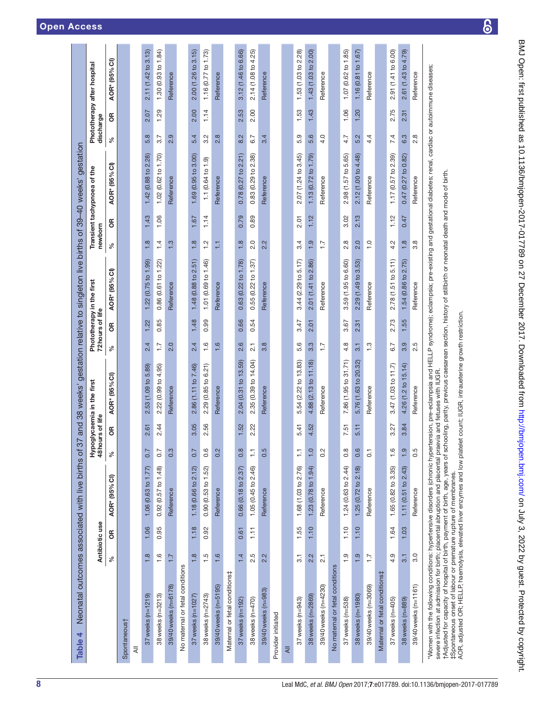<span id="page-7-0"></span>

| Table 4                                                                                                                                                                                                                                                                                                                                                                                                                                                                                                                                                                                                                                                                                                                  |                  |                 | Neonatal outcomes associated with live births of |                   |                 | 37 and 38 weeks' gestation relative to singleton live births of 39-40 weeks' gestation |                  |                   |                           |                  |      |                               |                     |      |                             |
|--------------------------------------------------------------------------------------------------------------------------------------------------------------------------------------------------------------------------------------------------------------------------------------------------------------------------------------------------------------------------------------------------------------------------------------------------------------------------------------------------------------------------------------------------------------------------------------------------------------------------------------------------------------------------------------------------------------------------|------------------|-----------------|--------------------------------------------------|-------------------|-----------------|----------------------------------------------------------------------------------------|------------------|-------------------|---------------------------|------------------|------|-------------------------------|---------------------|------|-----------------------------|
|                                                                                                                                                                                                                                                                                                                                                                                                                                                                                                                                                                                                                                                                                                                          |                  | Antibiotic use  |                                                  |                   | 48hours of life | Hypoglycaemia in the first                                                             |                  | ١ĭe<br>72hours of | Phototherapy in the first | newborn          |      | Transient tachypnoea of the   | discharge           |      | Phototherapy after hospital |
|                                                                                                                                                                                                                                                                                                                                                                                                                                                                                                                                                                                                                                                                                                                          | ৡ                | Э               | AOR* (95% CI)                                    | ಸಿ                | g               | (95%C)<br>AOR*                                                                         | వ                | g                 | (95% Cl)<br>AOR*          | ℅                | б    | (95% C1)<br>AOR*              | ಸಿ                  | g    | AOR* (95% CI)               |
| Spontaneous†                                                                                                                                                                                                                                                                                                                                                                                                                                                                                                                                                                                                                                                                                                             |                  |                 |                                                  |                   |                 |                                                                                        |                  |                   |                           |                  |      |                               |                     |      |                             |
| ₹                                                                                                                                                                                                                                                                                                                                                                                                                                                                                                                                                                                                                                                                                                                        |                  |                 |                                                  |                   |                 |                                                                                        |                  |                   |                           |                  |      |                               |                     |      |                             |
| $37$ weeks (n=1219)                                                                                                                                                                                                                                                                                                                                                                                                                                                                                                                                                                                                                                                                                                      | 1.8              | 1.06            | 1.06 (0.63 to 1.77)                              | 0.7               | 2.61            | 2.53 (1.09 to 5.89)                                                                    | 2.4              | 1.22              | 1.22(0.75 to 1.99)        | 1.8              | 1.43 | 1.42 (0.88 to 2.28)           | $\infty$<br>ς.      | 2.07 | 2.11(1.42 to 3.13)          |
| 38 weeks (n=3213)                                                                                                                                                                                                                                                                                                                                                                                                                                                                                                                                                                                                                                                                                                        | $\frac{6}{1}$    | 0.95            | 0.92 (0.57 to 1.48)                              | 0.7               | 2.44            | 2.22 (0.99 to 4.95)                                                                    | $\ddot{ }$ :     | 0.85              | 0.86 (0.61 to 1.22)       | $\ddot{4}$       | 1.06 | 1.02 (0.62 to 1.70)           | $\overline{ }$<br>က | 1.29 | 1.30 $(0.93$ to 1.84)       |
| 39/40 weeks (n=6178)                                                                                                                                                                                                                                                                                                                                                                                                                                                                                                                                                                                                                                                                                                     | 7.7              |                 | Reference                                        | 0.3               |                 | Reference                                                                              | 2.0              |                   | Reference                 | 1.3              |      | Reference                     | 2.9                 |      | Reference                   |
| No maternal or fetal conditions                                                                                                                                                                                                                                                                                                                                                                                                                                                                                                                                                                                                                                                                                          |                  |                 |                                                  |                   |                 |                                                                                        |                  |                   |                           |                  |      |                               |                     |      |                             |
| 37 weeks (n=1027)                                                                                                                                                                                                                                                                                                                                                                                                                                                                                                                                                                                                                                                                                                        | 1.8              | 1.18            | 1.18 (0.66 to 2.12)                              | 0.7               | 3.05            | 2.86 (1.11 to 7.46)                                                                    | 2.4              | 1.48              | 1.48(0.88 to 2.51)        | 1.8              | 1.67 | 1.69(0.95 to 3.00)            | 5.4                 | 2.00 | 2.00(1.26 to 3.15)          |
| 38 weeks (n=2743)                                                                                                                                                                                                                                                                                                                                                                                                                                                                                                                                                                                                                                                                                                        | $\ddot{1}$ .5    | 0.92            | 0.90 (0.53 to 1.52)                              | 0.6               | 2.56            | 6.21<br>2.29 (0.85 to                                                                  | 1.6              | 0.99              | 1.01 (0.69 to 1.46)       | 1.2              | 1.14 | $1.1(0.64 \text{ to } 1.9)$   | Ņ<br>က              | 1.14 | 1.16 (0.77 to 1.73)         |
| 39/40 weeks (n=5195)                                                                                                                                                                                                                                                                                                                                                                                                                                                                                                                                                                                                                                                                                                     | 1.6              |                 | Reference                                        | 0.2               |                 | Reference                                                                              | 1.6              |                   | Reference                 | H                |      | Reference                     | 2.8                 |      | Reference                   |
| Maternal or fetal conditions‡                                                                                                                                                                                                                                                                                                                                                                                                                                                                                                                                                                                                                                                                                            |                  |                 |                                                  |                   |                 |                                                                                        |                  |                   |                           |                  |      |                               |                     |      |                             |
| $37$ weeks ( $n = 192$ )                                                                                                                                                                                                                                                                                                                                                                                                                                                                                                                                                                                                                                                                                                 | 1.4              | 0.61            | 0.66(0.18 to 2.37)                               | 0.8               | 1.52            | 2.04 (0.31 to 13.59)                                                                   | 2.6              | 0.66              | 0.63(0.22 to 1.78)        | 1.8              | 0.79 | 0.78(0.27 to 2.21)            | 8.2                 | 2.53 | 3.12 (1.46 to 6.66)         |
| 38 weeks (n=470)                                                                                                                                                                                                                                                                                                                                                                                                                                                                                                                                                                                                                                                                                                         | 2.5              | $\overline{11}$ | 1.05(0.45 to 2.46)                               | H                 | 2.22            | 2.35 (0.39 to 14.04)                                                                   | 2.1              | 0.54              | 0.55(0.22 to 1.37)        | 2.0              | 0.89 | 2.38)<br>0.83(0.29 to         | 6.7                 | 2.00 | 2.14 (1.08 to 4.25)         |
| 39/40 weeks (n=983)                                                                                                                                                                                                                                                                                                                                                                                                                                                                                                                                                                                                                                                                                                      | 2.2              |                 | Reference                                        | 0.5               |                 | Reference                                                                              | 3.8              |                   | Reference                 | 2.2              |      | Reference                     | 3.4                 |      | Reference                   |
| Provider initiated                                                                                                                                                                                                                                                                                                                                                                                                                                                                                                                                                                                                                                                                                                       |                  |                 |                                                  |                   |                 |                                                                                        |                  |                   |                           |                  |      |                               |                     |      |                             |
| $\overline{a}$                                                                                                                                                                                                                                                                                                                                                                                                                                                                                                                                                                                                                                                                                                           |                  |                 |                                                  |                   |                 |                                                                                        |                  |                   |                           |                  |      |                               |                     |      |                             |
| $37$ weeks ( $n=943$ )                                                                                                                                                                                                                                                                                                                                                                                                                                                                                                                                                                                                                                                                                                   | 3.1              | 1.55            | 1.68 (1.03 to 2.76)                              | H                 | 5.41            | 5.54 (2.22 to 13.83)                                                                   | 5.6              | 3.47              | (2.29 to 5.17)<br>3.44    | 3.4              | 2.01 | 2.07(1.24 to 3.45)            | တ္<br>ΓÓ.           | 1.53 | 1.53 (1.03 to 2.28)         |
| 38 weeks (n=2869)                                                                                                                                                                                                                                                                                                                                                                                                                                                                                                                                                                                                                                                                                                        | 2.2              | 1.10            | $1.23$ (0.78 to 1.94)                            | $\overline{1}$ .0 | 4.52            | 4.88 (2.13 to 11.18)                                                                   | 3.3              | 2.01              | 2.01 (1.41 to 2.86)       | 1.9              | 1.12 | $1.13(0.72 \text{ to } 1.79)$ | 5.6                 | 1.43 | 1.43(1.03 to 2.00)          |
| 39/40 weeks (n=4230)                                                                                                                                                                                                                                                                                                                                                                                                                                                                                                                                                                                                                                                                                                     | $\overline{2.1}$ |                 | Reference                                        | 0.2               |                 | Reference                                                                              | $\overline{1}$ : |                   | Reference                 | $\overline{1}$ : |      | Reference                     | 4.0                 |      | Reference                   |
| No maternal or fetal conditions                                                                                                                                                                                                                                                                                                                                                                                                                                                                                                                                                                                                                                                                                          |                  |                 |                                                  |                   |                 |                                                                                        |                  |                   |                           |                  |      |                               |                     |      |                             |
| 37 weeks (n=538)                                                                                                                                                                                                                                                                                                                                                                                                                                                                                                                                                                                                                                                                                                         | $\frac{0}{1}$    | 1.10            | 1.24 (0.63 to 2.44)                              | $0.\overline{8}$  | 7.51            | 7.86 (1.95 to 31.71)                                                                   | 4.8              | 3.67              | 3.59 (1.95 to 6.60)       | 2.8              | 3.02 | 2.98 (1.57 to 5.65)           | 4.7                 | 1.06 | 1.07 (0.62 to 1.85)         |
| 38 weeks (n=1980)                                                                                                                                                                                                                                                                                                                                                                                                                                                                                                                                                                                                                                                                                                        | 1.9              | 1.10            | 1.25 (0.72 to 2.18)                              | 0.6               | 5.11            | 5.76 (1.63 to 20.32)                                                                   | 3.1              | 2.31              | 2.29(1.49 to 3.53)        | 2.0              | 2.13 | 2.12 (1.00 to 4.48)           | 5.2                 | 1.20 | 1.16 (0.81 to 1.67)         |
| 39/40 weeks (n=3069)                                                                                                                                                                                                                                                                                                                                                                                                                                                                                                                                                                                                                                                                                                     | $\overline{1}$ : |                 | Reference                                        | $\overline{0}$    |                 | Reference                                                                              | $\frac{3}{2}$    |                   | Reference                 | $\frac{0}{1}$    |      | Reference                     | 4.4                 |      | Reference                   |
| Maternal or fetal conditions‡                                                                                                                                                                                                                                                                                                                                                                                                                                                                                                                                                                                                                                                                                            |                  |                 |                                                  |                   |                 |                                                                                        |                  |                   |                           |                  |      |                               |                     |      |                             |
| $37$ weeks (n=405)                                                                                                                                                                                                                                                                                                                                                                                                                                                                                                                                                                                                                                                                                                       | 4.9              | 1.64            | 1.65(0.82 to 3.35)                               | 1.6               | 3.27            | 3.47 (1.03 to 11.7)                                                                    | 6.7              | 2.73              | 2.78 (1.51 to 5.11)       | 4.2              | 1.12 | 1.17(0.57 to 2.39)            | 7.4                 | 2.75 | 2.91 (1.41 to 6.00)         |
| 38 weeks (n=889)                                                                                                                                                                                                                                                                                                                                                                                                                                                                                                                                                                                                                                                                                                         | 3.1              | 1.03            | 1.11(0.51 to 2.43)                               | $\frac{1}{2}$     | 3.84            | 4.26 (1.2 to 15.14)                                                                    | 3.9              | 1.55              | 1.54 (0.86 to 2.75)       | 1.8              | 0.47 | 0.47(0.27 to 0.82)            | 6.3                 | 2.31 | 2.61 (1.43 to 4.79)         |
| 39/40 weeks (n=1161)                                                                                                                                                                                                                                                                                                                                                                                                                                                                                                                                                                                                                                                                                                     | 3.0              |                 | Reference                                        | 0.5               |                 | Reference                                                                              | 2.5              |                   | Reference                 | 3.8              |      | Reference                     | 2.8                 |      | Reference                   |
| "Women with the following conditions: hypertensive disorders (chronic hypertension, pre-eclampsia and HELLP syndrome); eclampsia; pre-existing and gestational diabetes; renal, cardiac or autoimmune diseases;<br>rAdjusted for capacity of hospital of birth, payment of birth, age, years of schooling, parity, previous caesarean section, history of stillbirth or neonatal death and mode of birth.<br>AOR, adjusted OR; HELLP, haemolysis, elevated liver enzymes and low platelet count; IUGR, intraueterine growth restriction.<br>severe infection at admission for birth; placental abruption and placental praevia and fetuses with IUGR.<br>#Spontaneous onset of labour or premature rupture of membranes. |                  |                 |                                                  |                   |                 |                                                                                        |                  |                   |                           |                  |      |                               |                     |      |                             |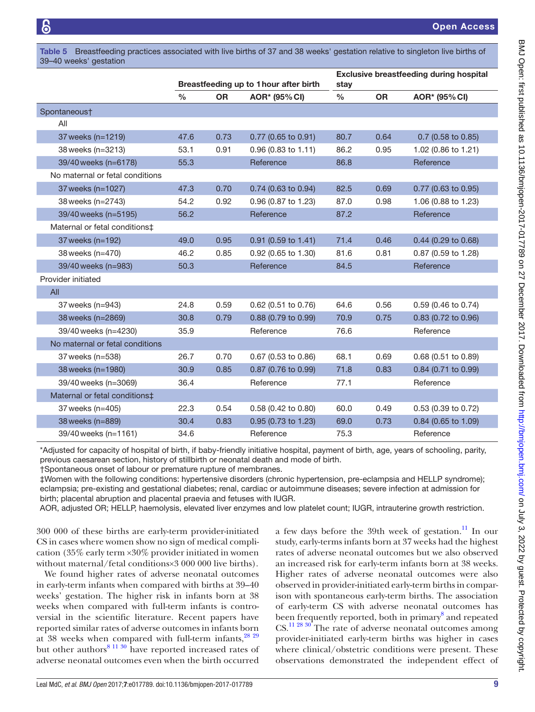39–40 weeks' gestation

Open Access

|                                           |      |           | Breastfeeding up to 1 hour after birth | stay |           | <b>Exclusive breastfeeding during hospital</b> |
|-------------------------------------------|------|-----------|----------------------------------------|------|-----------|------------------------------------------------|
|                                           | $\%$ | <b>OR</b> | AOR* (95% CI)                          | %    | <b>OR</b> | AOR* (95% CI)                                  |
| Spontaneous†                              |      |           |                                        |      |           |                                                |
| All                                       |      |           |                                        |      |           |                                                |
| 37 weeks (n=1219)                         | 47.6 | 0.73      | 0.77 (0.65 to 0.91)                    | 80.7 | 0.64      | $0.7$ (0.58 to 0.85)                           |
| 38 weeks (n=3213)                         | 53.1 | 0.91      | $0.96$ (0.83 to 1.11)                  | 86.2 | 0.95      | 1.02 (0.86 to 1.21)                            |
| 39/40 weeks (n=6178)                      | 55.3 |           | Reference                              | 86.8 |           | Reference                                      |
| No maternal or fetal conditions           |      |           |                                        |      |           |                                                |
| 37 weeks (n=1027)                         | 47.3 | 0.70      | 0.74 (0.63 to 0.94)                    | 82.5 | 0.69      | 0.77 (0.63 to 0.95)                            |
| 38 weeks (n=2743)                         | 54.2 | 0.92      | 0.96 (0.87 to 1.23)                    | 87.0 | 0.98      | 1.06 (0.88 to 1.23)                            |
| 39/40 weeks (n=5195)                      | 56.2 |           | Reference                              | 87.2 |           | Reference                                      |
| Maternal or fetal conditions <sup>±</sup> |      |           |                                        |      |           |                                                |
| 37 weeks (n=192)                          | 49.0 | 0.95      | 0.91 (0.59 to 1.41)                    | 71.4 | 0.46      | 0.44 (0.29 to 0.68)                            |
| 38 weeks (n=470)                          | 46.2 | 0.85      | 0.92 (0.65 to 1.30)                    | 81.6 | 0.81      | 0.87 (0.59 to 1.28)                            |
| 39/40 weeks (n=983)                       | 50.3 |           | Reference                              | 84.5 |           | Reference                                      |
| Provider initiated                        |      |           |                                        |      |           |                                                |
| All                                       |      |           |                                        |      |           |                                                |
| 37 weeks (n=943)                          | 24.8 | 0.59      | 0.62 (0.51 to 0.76)                    | 64.6 | 0.56      | 0.59 (0.46 to 0.74)                            |
| 38 weeks (n=2869)                         | 30.8 | 0.79      | 0.88 (0.79 to 0.99)                    | 70.9 | 0.75      | 0.83 (0.72 to 0.96)                            |
| 39/40 weeks (n=4230)                      | 35.9 |           | Reference                              | 76.6 |           | Reference                                      |
| No maternal or fetal conditions           |      |           |                                        |      |           |                                                |
| 37 weeks (n=538)                          | 26.7 | 0.70      | $0.67$ (0.53 to 0.86)                  | 68.1 | 0.69      | $0.68$ (0.51 to 0.89)                          |
| 38 weeks (n=1980)                         | 30.9 | 0.85      | 0.87 (0.76 to 0.99)                    | 71.8 | 0.83      | 0.84 (0.71 to 0.99)                            |
| 39/40 weeks (n=3069)                      | 36.4 |           | Reference                              | 77.1 |           | Reference                                      |
| Maternal or fetal conditions‡             |      |           |                                        |      |           |                                                |
| 37 weeks (n=405)                          | 22.3 | 0.54      | 0.58 (0.42 to 0.80)                    | 60.0 | 0.49      | 0.53 (0.39 to 0.72)                            |
| 38 weeks (n=889)                          | 30.4 | 0.83      | $0.95$ (0.73 to 1.23)                  | 69.0 | 0.73      | $0.84$ (0.65 to 1.09)                          |
| 39/40 weeks (n=1161)                      | 34.6 |           | Reference                              | 75.3 |           | Reference                                      |

<span id="page-8-0"></span>Table 5 Breastfeeding practices associated with live births of 37 and 38 weeks' gestation relative to singleton live births of

\*Adjusted for capacity of hospital of birth, if baby-friendly initiative hospital, payment of birth, age, years of schooling, parity, previous caesarean section, history of stillbirth or neonatal death and mode of birth. †Spontaneous onset of labour or premature rupture of membranes.

‡Women with the following conditions: hypertensive disorders (chronic hypertension, pre-eclampsia and HELLP syndrome); eclampsia; pre-existing and gestational diabetes; renal, cardiac or autoimmune diseases; severe infection at admission for birth; placental abruption and placental praevia and fetuses with IUGR.

AOR, adjusted OR; HELLP, haemolysis, elevated liver enzymes and low platelet count; IUGR, intrauterine growth restriction.

300 000 of these births are early-term provider-initiated CS in cases where women show no sign of medical complication (35% early term ×30% provider initiated in women without maternal/fetal conditions×3 000 000 live births).

We found higher rates of adverse neonatal outcomes in early-term infants when compared with births at 39–40 weeks' gestation. The higher risk in infants born at 38 weeks when compared with full-term infants is controversial in the scientific literature. Recent papers have reported similar rates of adverse outcomes in infants born at 38 weeks when compared with full-term infants.<sup>[28 29](#page-10-16)</sup> but other authors<sup>8 11 30</sup> have reported increased rates of adverse neonatal outcomes even when the birth occurred

a few days before the 39th week of gestation. $\frac{11}{11}$  In our study, early-terms infants born at 37 weeks had the highest rates of adverse neonatal outcomes but we also observed an increased risk for early-term infants born at 38 weeks. Higher rates of adverse neonatal outcomes were also observed in provider-initiated early-term births in comparison with spontaneous early-term births. The association of early-term CS with adverse neonatal outcomes has been frequently reported, both in primary<sup>[8](#page-10-17)</sup> and repeated  $CS$ .<sup>[11 28 30](#page-10-18)</sup> The rate of adverse neonatal outcomes among provider-initiated early-term births was higher in cases where clinical/obstetric conditions were present. These observations demonstrated the independent effect of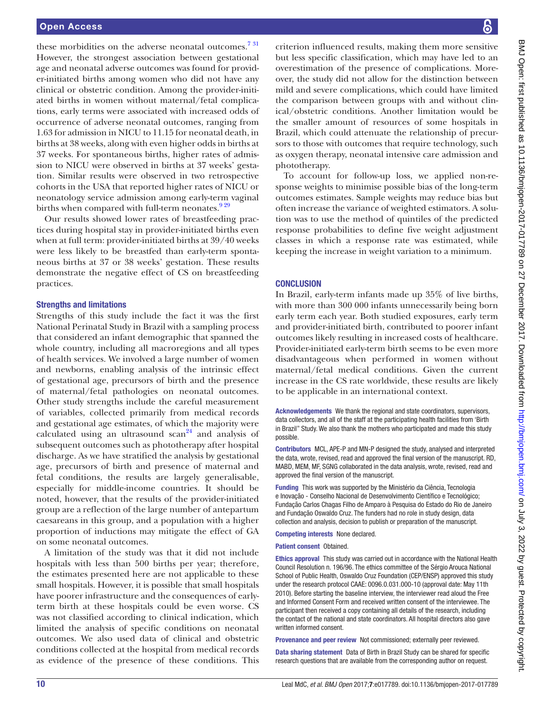these morbidities on the adverse neonatal outcomes.<sup>731</sup> However, the strongest association between gestational age and neonatal adverse outcomes was found for provider-initiated births among women who did not have any clinical or obstetric condition. Among the provider-initiated births in women without maternal/fetal complications, early terms were associated with increased odds of occurrence of adverse neonatal outcomes, ranging from 1.63 for admission in NICU to 11.15 for neonatal death, in births at 38 weeks, along with even higher odds in births at 37 weeks. For spontaneous births, higher rates of admission to NICU were observed in births at 37 weeks' gestation. Similar results were observed in two retrospective cohorts in the USA that reported higher rates of NICU or neonatology service admission among early-term vaginal births when compared with full-term neonates. $929$ 

Our results showed lower rates of breastfeeding practices during hospital stay in provider-initiated births even when at full term: provider-initiated births at 39/40 weeks were less likely to be breastfed than early-term spontaneous births at 37 or 38 weeks' gestation. These results demonstrate the negative effect of CS on breastfeeding practices.

#### Strengths and limitations

Strengths of this study include the fact it was the first National Perinatal Study in Brazil with a sampling process that considered an infant demographic that spanned the whole country, including all macroregions and all types of health services. We involved a large number of women and newborns, enabling analysis of the intrinsic effect of gestational age, precursors of birth and the presence of maternal/fetal pathologies on neonatal outcomes. Other study strengths include the careful measurement of variables, collected primarily from medical records and gestational age estimates, of which the majority were calculated using an ultrasound  $scan<sup>24</sup>$  and analysis of subsequent outcomes such as phototherapy after hospital discharge. As we have stratified the analysis by gestational age, precursors of birth and presence of maternal and fetal conditions, the results are largely generalisable, especially for middle-income countries. It should be noted, however, that the results of the provider-initiated group are a reflection of the large number of antepartum caesareans in this group, and a population with a higher proportion of inductions may mitigate the effect of GA on some neonatal outcomes.

A limitation of the study was that it did not include hospitals with less than 500 births per year; therefore, the estimates presented here are not applicable to these small hospitals. However, it is possible that small hospitals have poorer infrastructure and the consequences of earlyterm birth at these hospitals could be even worse. CS was not classified according to clinical indication, which limited the analysis of specific conditions on neonatal outcomes. We also used data of clinical and obstetric conditions collected at the hospital from medical records as evidence of the presence of these conditions. This

criterion influenced results, making them more sensitive but less specific classification, which may have led to an overestimation of the presence of complications. Moreover, the study did not allow for the distinction between mild and severe complications, which could have limited the comparison between groups with and without clinical/obstetric conditions. Another limitation would be the smaller amount of resources of some hospitals in Brazil, which could attenuate the relationship of precursors to those with outcomes that require technology, such as oxygen therapy, neonatal intensive care admission and phototherapy.

To account for follow-up loss, we applied non-response weights to minimise possible bias of the long-term outcomes estimates. Sample weights may reduce bias but often increase the variance of weighted estimators. A solution was to use the method of quintiles of the predicted response probabilities to define five weight adjustment classes in which a response rate was estimated, while keeping the increase in weight variation to a minimum.

#### **CONCLUSION**

In Brazil, early-term infants made up 35% of live births, with more than 300 000 infants unnecessarily being born early term each year. Both studied exposures, early term and provider-initiated birth, contributed to poorer infant outcomes likely resulting in increased costs of healthcare. Provider-initiated early-term birth seems to be even more disadvantageous when performed in women without maternal/fetal medical conditions. Given the current increase in the CS rate worldwide, these results are likely to be applicable in an international context.

Acknowledgements We thank the regional and state coordinators, supervisors, data collectors, and all of the staff at the participating health facilities from 'Birth in Brazil" Study. We also thank the mothers who participated and made this study possible.

Contributors MCL, APE-P and MN-P designed the study, analysed and interpreted the data, wrote, revised, read and approved the final version of the manuscript. RD, MABD, MEM, MF, SGNG collaborated in the data analysis, wrote, revised, read and approved the final version of the manuscript.

Funding This work was supported by the Ministério da Ciência, Tecnologia e Inovação - Conselho Nacional de Desenvolvimento Científico e Tecnológico; Fundação Carlos Chagas Filho de Amparo à Pesquisa do Estado do Rio de Janeiro and Fundação Oswaldo Cruz. The funders had no role in study design, data collection and analysis, decision to publish or preparation of the manuscript.

Competing interests None declared.

Patient consent Obtained.

Ethics approval This study was carried out in accordance with the National Health Council Resolution n. 196/96. The ethics committee of the Sérgio Arouca National School of Public Health, Oswaldo Cruz Foundation (CEP/ENSP) approved this study under the research protocol CAAE: 0096.0.031.000-10 (approval date: May 11th 2010). Before starting the baseline interview, the interviewer read aloud the Free and Informed Consent Form and received written consent of the interviewee. The participant then received a copy containing all details of the research, including the contact of the national and state coordinators. All hospital directors also gave written informed consent.

Provenance and peer review Not commissioned; externally peer reviewed.

Data sharing statement Data of Birth in Brazil Study can be shared for specific research questions that are available from the corresponding author on request.